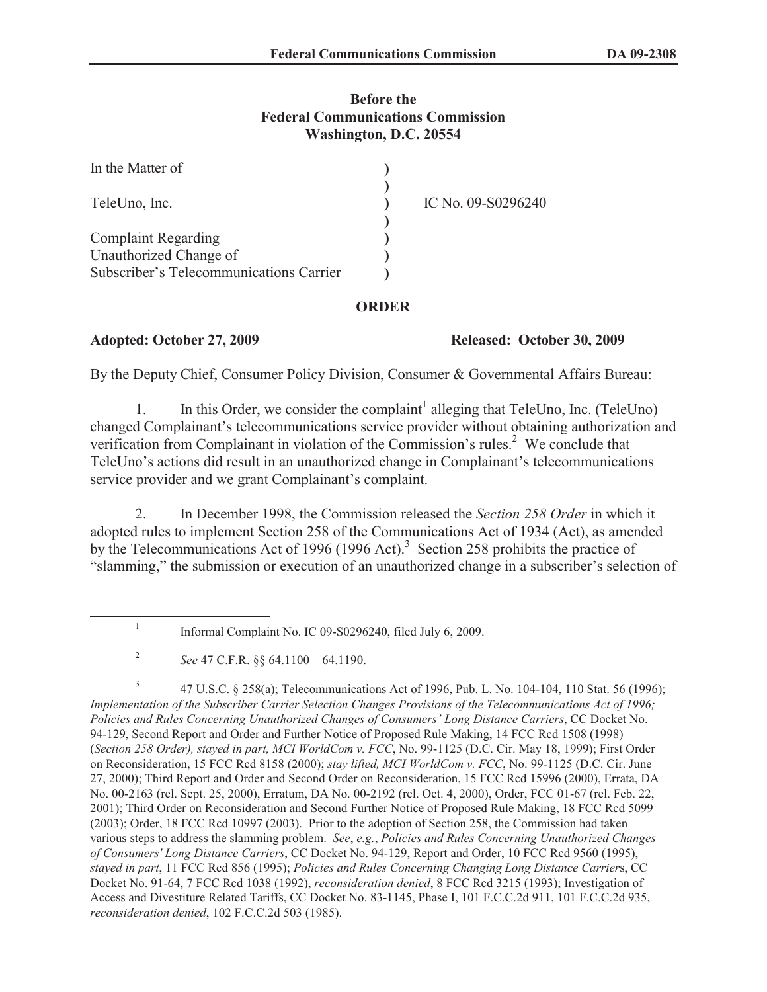## **Before the Federal Communications Commission Washington, D.C. 20554**

| In the Matter of                                                  |                    |
|-------------------------------------------------------------------|--------------------|
| TeleUno, Inc.                                                     | IC No. 09-S0296240 |
| <b>Complaint Regarding</b>                                        |                    |
| Unauthorized Change of<br>Subscriber's Telecommunications Carrier |                    |

## **ORDER**

## **Adopted: October 27, 2009 Released: October 30, 2009**

By the Deputy Chief, Consumer Policy Division, Consumer & Governmental Affairs Bureau:

1. In this Order, we consider the complaint<sup>1</sup> alleging that TeleUno, Inc. (TeleUno) changed Complainant's telecommunications service provider without obtaining authorization and verification from Complainant in violation of the Commission's rules.<sup>2</sup> We conclude that TeleUno's actions did result in an unauthorized change in Complainant's telecommunications service provider and we grant Complainant's complaint.

2. In December 1998, the Commission released the *Section 258 Order* in which it adopted rules to implement Section 258 of the Communications Act of 1934 (Act), as amended by the Telecommunications Act of 1996 (1996 Act).<sup>3</sup> Section 258 prohibits the practice of "slamming," the submission or execution of an unauthorized change in a subscriber's selection of

3 47 U.S.C. § 258(a); Telecommunications Act of 1996, Pub. L. No. 104-104, 110 Stat. 56 (1996); *Implementation of the Subscriber Carrier Selection Changes Provisions of the Telecommunications Act of 1996; Policies and Rules Concerning Unauthorized Changes of Consumers' Long Distance Carriers*, CC Docket No. 94-129, Second Report and Order and Further Notice of Proposed Rule Making, 14 FCC Rcd 1508 (1998) (*Section 258 Order), stayed in part, MCI WorldCom v. FCC*, No. 99-1125 (D.C. Cir. May 18, 1999); First Order on Reconsideration, 15 FCC Rcd 8158 (2000); *stay lifted, MCI WorldCom v. FCC*, No. 99-1125 (D.C. Cir. June 27, 2000); Third Report and Order and Second Order on Reconsideration, 15 FCC Rcd 15996 (2000), Errata, DA No. 00-2163 (rel. Sept. 25, 2000), Erratum, DA No. 00-2192 (rel. Oct. 4, 2000), Order, FCC 01-67 (rel. Feb. 22, 2001); Third Order on Reconsideration and Second Further Notice of Proposed Rule Making, 18 FCC Rcd 5099 (2003); Order, 18 FCC Rcd 10997 (2003). Prior to the adoption of Section 258, the Commission had taken various steps to address the slamming problem. *See*, *e.g.*, *Policies and Rules Concerning Unauthorized Changes of Consumers' Long Distance Carriers*, CC Docket No. 94-129, Report and Order, 10 FCC Rcd 9560 (1995), *stayed in part*, 11 FCC Rcd 856 (1995); *Policies and Rules Concerning Changing Long Distance Carrier*s, CC Docket No. 91-64, 7 FCC Rcd 1038 (1992), *reconsideration denied*, 8 FCC Rcd 3215 (1993); Investigation of Access and Divestiture Related Tariffs, CC Docket No. 83-1145, Phase I, 101 F.C.C.2d 911, 101 F.C.C.2d 935, *reconsideration denied*, 102 F.C.C.2d 503 (1985).

<sup>1</sup> Informal Complaint No. IC 09-S0296240, filed July 6, 2009.

<sup>2</sup> *See* 47 C.F.R. §§ 64.1100 – 64.1190.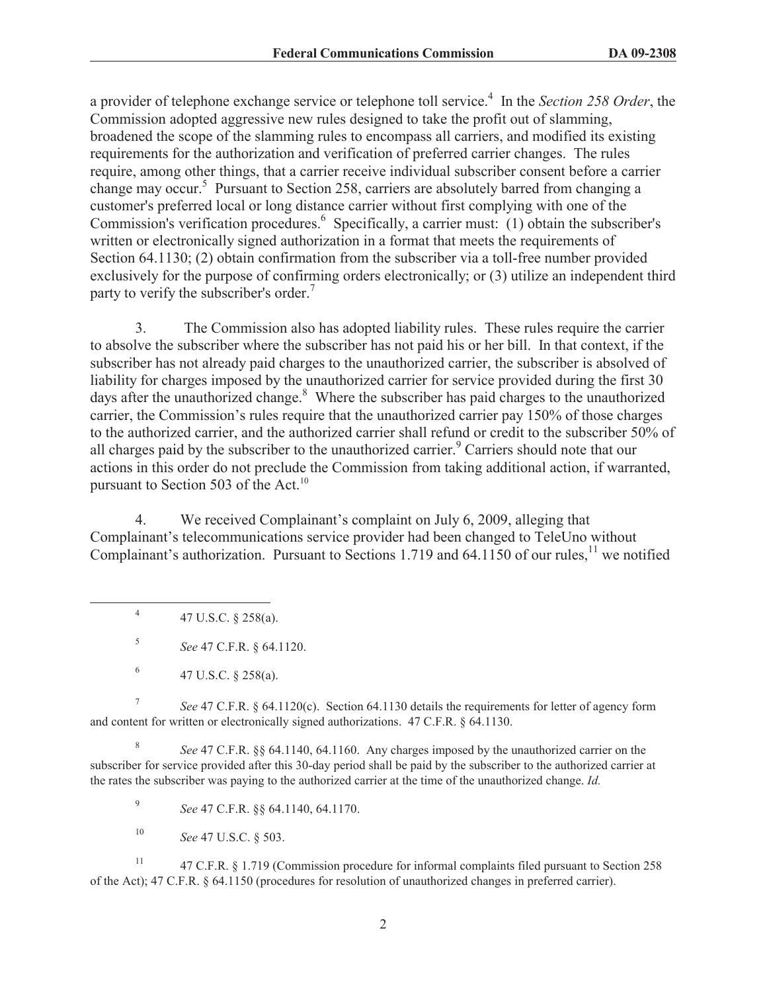a provider of telephone exchange service or telephone toll service.<sup>4</sup> In the *Section 258 Order*, the Commission adopted aggressive new rules designed to take the profit out of slamming, broadened the scope of the slamming rules to encompass all carriers, and modified its existing requirements for the authorization and verification of preferred carrier changes. The rules require, among other things, that a carrier receive individual subscriber consent before a carrier change may occur.<sup>5</sup> Pursuant to Section 258, carriers are absolutely barred from changing a customer's preferred local or long distance carrier without first complying with one of the Commission's verification procedures.<sup>6</sup> Specifically, a carrier must: (1) obtain the subscriber's written or electronically signed authorization in a format that meets the requirements of Section 64.1130; (2) obtain confirmation from the subscriber via a toll-free number provided exclusively for the purpose of confirming orders electronically; or (3) utilize an independent third party to verify the subscriber's order.<sup>7</sup>

3. The Commission also has adopted liability rules. These rules require the carrier to absolve the subscriber where the subscriber has not paid his or her bill. In that context, if the subscriber has not already paid charges to the unauthorized carrier, the subscriber is absolved of liability for charges imposed by the unauthorized carrier for service provided during the first 30 days after the unauthorized change.<sup>8</sup> Where the subscriber has paid charges to the unauthorized carrier, the Commission's rules require that the unauthorized carrier pay 150% of those charges to the authorized carrier, and the authorized carrier shall refund or credit to the subscriber 50% of all charges paid by the subscriber to the unauthorized carrier.<sup>9</sup> Carriers should note that our actions in this order do not preclude the Commission from taking additional action, if warranted, pursuant to Section 503 of the Act. $^{10}$ 

4. We received Complainant's complaint on July 6, 2009, alleging that Complainant's telecommunications service provider had been changed to TeleUno without Complainant's authorization. Pursuant to Sections 1.719 and 64.1150 of our rules,<sup>11</sup> we notified

4 47 U.S.C. § 258(a).

5 *See* 47 C.F.R. § 64.1120.

7 *See* 47 C.F.R. § 64.1120(c). Section 64.1130 details the requirements for letter of agency form and content for written or electronically signed authorizations. 47 C.F.R. § 64.1130.

8 *See* 47 C.F.R. §§ 64.1140, 64.1160. Any charges imposed by the unauthorized carrier on the subscriber for service provided after this 30-day period shall be paid by the subscriber to the authorized carrier at the rates the subscriber was paying to the authorized carrier at the time of the unauthorized change. *Id.*

9 *See* 47 C.F.R. §§ 64.1140, 64.1170.

<sup>10</sup> *See* 47 U.S.C. § 503.

<sup>11</sup> 47 C.F.R. § 1.719 (Commission procedure for informal complaints filed pursuant to Section 258 of the Act); 47 C.F.R. § 64.1150 (procedures for resolution of unauthorized changes in preferred carrier).

<sup>6</sup> 47 U.S.C. § 258(a).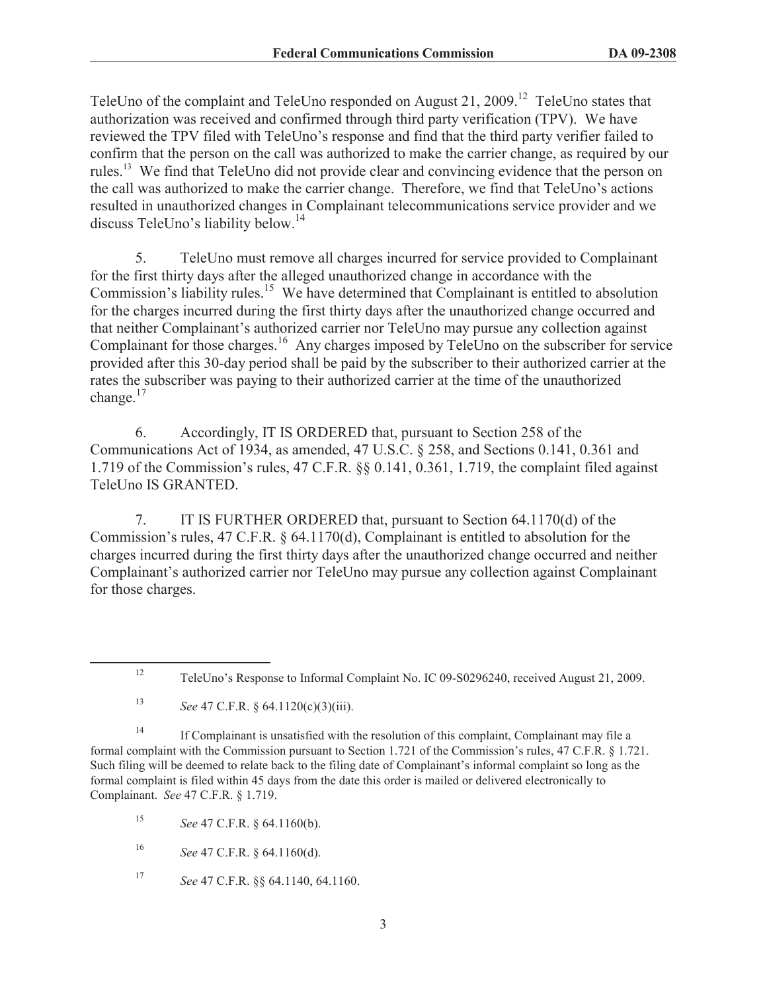TeleUno of the complaint and TeleUno responded on August 21, 2009.<sup>12</sup> TeleUno states that authorization was received and confirmed through third party verification (TPV). We have reviewed the TPV filed with TeleUno's response and find that the third party verifier failed to confirm that the person on the call was authorized to make the carrier change, as required by our rules.<sup>13</sup> We find that TeleUno did not provide clear and convincing evidence that the person on the call was authorized to make the carrier change. Therefore, we find that TeleUno's actions resulted in unauthorized changes in Complainant telecommunications service provider and we discuss TeleUno's liability below.<sup>14</sup>

5. TeleUno must remove all charges incurred for service provided to Complainant for the first thirty days after the alleged unauthorized change in accordance with the Commission's liability rules.<sup>15</sup> We have determined that Complainant is entitled to absolution for the charges incurred during the first thirty days after the unauthorized change occurred and that neither Complainant's authorized carrier nor TeleUno may pursue any collection against Complainant for those charges.<sup>16</sup> Any charges imposed by TeleUno on the subscriber for service provided after this 30-day period shall be paid by the subscriber to their authorized carrier at the rates the subscriber was paying to their authorized carrier at the time of the unauthorized change.<sup>17</sup>

6. Accordingly, IT IS ORDERED that, pursuant to Section 258 of the Communications Act of 1934, as amended, 47 U.S.C. § 258, and Sections 0.141, 0.361 and 1.719 of the Commission's rules, 47 C.F.R. §§ 0.141, 0.361, 1.719, the complaint filed against TeleUno IS GRANTED.

7. IT IS FURTHER ORDERED that, pursuant to Section 64.1170(d) of the Commission's rules, 47 C.F.R. § 64.1170(d), Complainant is entitled to absolution for the charges incurred during the first thirty days after the unauthorized change occurred and neither Complainant's authorized carrier nor TeleUno may pursue any collection against Complainant for those charges.

<sup>13</sup> *See* 47 C.F.R. § 64.1120(c)(3)(iii).

<sup>14</sup> If Complainant is unsatisfied with the resolution of this complaint, Complainant may file a formal complaint with the Commission pursuant to Section 1.721 of the Commission's rules, 47 C.F.R. § 1.721. Such filing will be deemed to relate back to the filing date of Complainant's informal complaint so long as the formal complaint is filed within 45 days from the date this order is mailed or delivered electronically to Complainant. *See* 47 C.F.R. § 1.719.

<sup>15</sup> *See* 47 C.F.R. § 64.1160(b).

<sup>16</sup> *See* 47 C.F.R. § 64.1160(d).

<sup>17</sup> *See* 47 C.F.R. §§ 64.1140, 64.1160.

<sup>12</sup> TeleUno's Response to Informal Complaint No. IC 09-S0296240, received August 21, 2009.